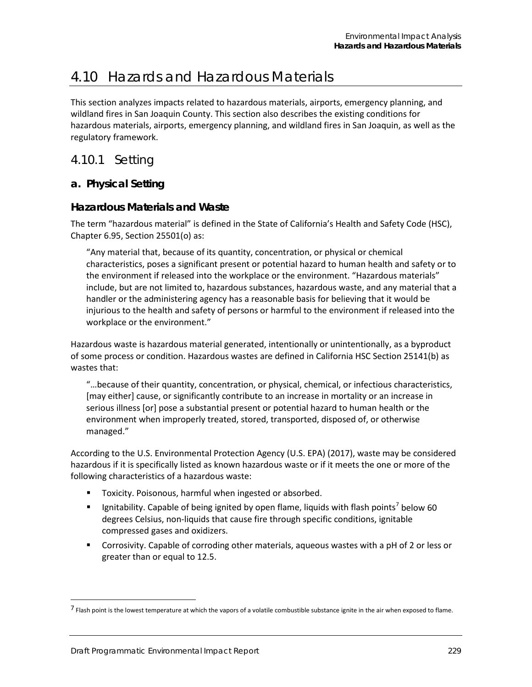# 4.10 Hazards and Hazardous Materials

This section analyzes impacts related to hazardous materials, airports, emergency planning, and wildland fires in San Joaquin County. This section also describes the existing conditions for hazardous materials, airports, emergency planning, and wildland fires in San Joaquin, as well as the regulatory framework.

4.10.1 Setting

## **a. Physical Setting**

## **Hazardous Materials and Waste**

The term "hazardous material" is defined in the State of California's Health and Safety Code (HSC), Chapter 6.95, Section 25501(o) as:

"Any material that, because of its quantity, concentration, or physical or chemical characteristics, poses a significant present or potential hazard to human health and safety or to the environment if released into the workplace or the environment. "Hazardous materials" include, but are not limited to, hazardous substances, hazardous waste, and any material that a handler or the administering agency has a reasonable basis for believing that it would be injurious to the health and safety of persons or harmful to the environment if released into the workplace or the environment."

Hazardous waste is hazardous material generated, intentionally or unintentionally, as a byproduct of some process or condition. Hazardous wastes are defined in California HSC Section 25141(b) as wastes that:

"…because of their quantity, concentration, or physical, chemical, or infectious characteristics, [may either] cause, or significantly contribute to an increase in mortality or an increase in serious illness [or] pose a substantial present or potential hazard to human health or the environment when improperly treated, stored, transported, disposed of, or otherwise managed."

According to the U.S. Environmental Protection Agency (U.S. EPA) (2017), waste may be considered hazardous if it is specifically listed as known hazardous waste or if it meets the one or more of the following characteristics of a hazardous waste:

- **Toxicity. Poisonous, harmful when ingested or absorbed.**
- Ignitability. Capable of being ignited by open flame, liquids with flash points<sup>[7](#page-0-0)</sup> below 60 degrees Celsius, non-liquids that cause fire through specific conditions, ignitable compressed gases and oxidizers.
- Corrosivity. Capable of corroding other materials, aqueous wastes with a pH of 2 or less or greater than or equal to 12.5.

-

<span id="page-0-0"></span><sup>&</sup>lt;sup>7</sup> Flash point is the lowest temperature at which the vapors of a volatile combustible substance ignite in the air when exposed to flame.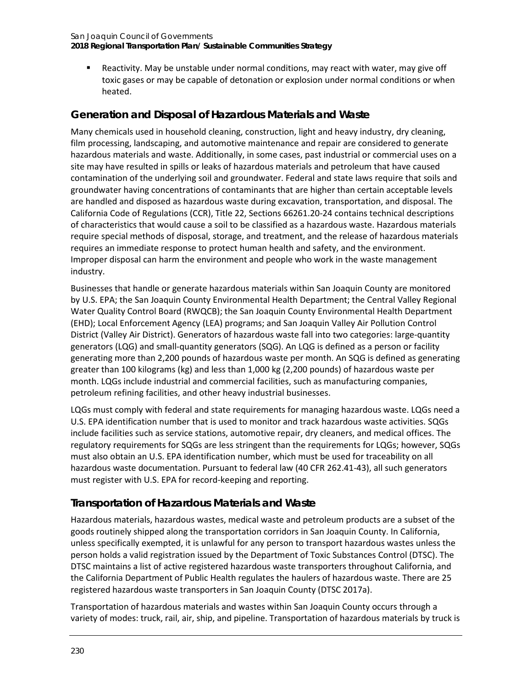Reactivity. May be unstable under normal conditions, may react with water, may give off toxic gases or may be capable of detonation or explosion under normal conditions or when heated.

# **Generation and Disposal of Hazardous Materials and Waste**

Many chemicals used in household cleaning, construction, light and heavy industry, dry cleaning, film processing, landscaping, and automotive maintenance and repair are considered to generate hazardous materials and waste. Additionally, in some cases, past industrial or commercial uses on a site may have resulted in spills or leaks of hazardous materials and petroleum that have caused contamination of the underlying soil and groundwater. Federal and state laws require that soils and groundwater having concentrations of contaminants that are higher than certain acceptable levels are handled and disposed as hazardous waste during excavation, transportation, and disposal. The California Code of Regulations (CCR), Title 22, Sections 66261.20-24 contains technical descriptions of characteristics that would cause a soil to be classified as a hazardous waste. Hazardous materials require special methods of disposal, storage, and treatment, and the release of hazardous materials requires an immediate response to protect human health and safety, and the environment. Improper disposal can harm the environment and people who work in the waste management industry.

Businesses that handle or generate hazardous materials within San Joaquin County are monitored by U.S. EPA; the San Joaquin County Environmental Health Department; the Central Valley Regional Water Quality Control Board (RWQCB); the San Joaquin County Environmental Health Department (EHD); Local Enforcement Agency (LEA) programs; and San Joaquin Valley Air Pollution Control District (Valley Air District). Generators of hazardous waste fall into two categories: large-quantity generators (LQG) and small-quantity generators (SQG). An LQG is defined as a person or facility generating more than 2,200 pounds of hazardous waste per month. An SQG is defined as generating greater than 100 kilograms (kg) and less than 1,000 kg (2,200 pounds) of hazardous waste per month. LQGs include industrial and commercial facilities, such as manufacturing companies, petroleum refining facilities, and other heavy industrial businesses.

LQGs must comply with federal and state requirements for managing hazardous waste. LQGs need a U.S. EPA identification number that is used to monitor and track hazardous waste activities. SQGs include facilities such as service stations, automotive repair, dry cleaners, and medical offices. The regulatory requirements for SQGs are less stringent than the requirements for LQGs; however, SQGs must also obtain an U.S. EPA identification number, which must be used for traceability on all hazardous waste documentation. Pursuant to federal law (40 CFR 262.41-43), all such generators must register with U.S. EPA for record-keeping and reporting.

# **Transportation of Hazardous Materials and Waste**

Hazardous materials, hazardous wastes, medical waste and petroleum products are a subset of the goods routinely shipped along the transportation corridors in San Joaquin County. In California, unless specifically exempted, it is unlawful for any person to transport hazardous wastes unless the person holds a valid registration issued by the Department of Toxic Substances Control (DTSC). The DTSC maintains a list of active registered hazardous waste transporters throughout California, and the California Department of Public Health regulates the haulers of hazardous waste. There are 25 registered hazardous waste transporters in San Joaquin County (DTSC 2017a).

Transportation of hazardous materials and wastes within San Joaquin County occurs through a variety of modes: truck, rail, air, ship, and pipeline. Transportation of hazardous materials by truck is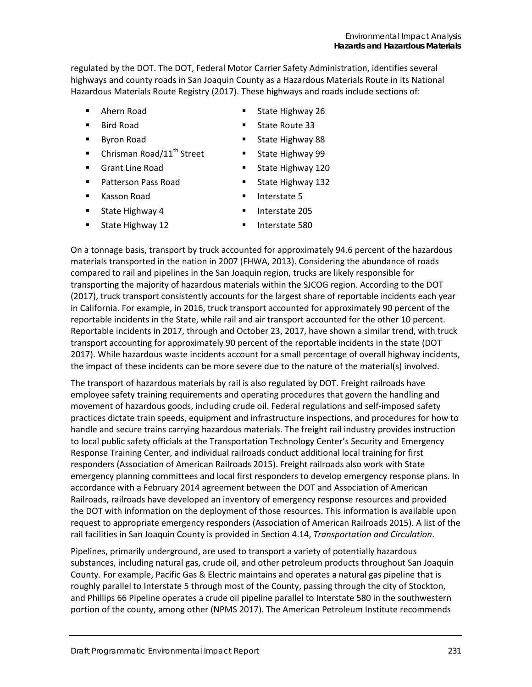regulated by the DOT. The DOT, Federal Motor Carrier Safety Administration, identifies several highways and county roads in San Joaquin County as a Hazardous Materials Route in its National Hazardous Materials Route Registry (2017). These highways and roads include sections of:

- Ahern Road
- Bird Road
- Byron Road
- $\blacksquare$  Chrisman Road/11<sup>th</sup> Street
- Grant Line Road

**State Highway 4** 

- Patterson Pass Road
- **Kasson Road**
- **Interstate 5**
- Interstate 205
- **State Highway 12**
- **Interstate 580**

On a tonnage basis, transport by truck accounted for approximately 94.6 percent of the hazardous materials transported in the nation in 2007 (FHWA, 2013). Considering the abundance of roads compared to rail and pipelines in the San Joaquin region, trucks are likely responsible for transporting the majority of hazardous materials within the SJCOG region. According to the DOT (2017), truck transport consistently accounts for the largest share of reportable incidents each year in California. For example, in 2016, truck transport accounted for approximately 90 percent of the reportable incidents in the State, while rail and air transport accounted for the other 10 percent. Reportable incidents in 2017, through and October 23, 2017, have shown a similar trend, with truck transport accounting for approximately 90 percent of the reportable incidents in the state (DOT 2017). While hazardous waste incidents account for a small percentage of overall highway incidents, the impact of these incidents can be more severe due to the nature of the material(s) involved.

The transport of hazardous materials by rail is also regulated by DOT. Freight railroads have employee safety training requirements and operating procedures that govern the handling and movement of hazardous goods, including crude oil. Federal regulations and self-imposed safety practices dictate train speeds, equipment and infrastructure inspections, and procedures for how to handle and secure trains carrying hazardous materials. The freight rail industry provides instruction to local public safety officials at the Transportation Technology Center's Security and Emergency Response Training Center, and individual railroads conduct additional local training for first responders (Association of American Railroads 2015). Freight railroads also work with State emergency planning committees and local first responders to develop emergency response plans. In accordance with a February 2014 agreement between the DOT and Association of American Railroads, railroads have developed an inventory of emergency response resources and provided the DOT with information on the deployment of those resources. This information is available upon request to appropriate emergency responders (Association of American Railroads 2015). A list of the rail facilities in San Joaquin County is provided in Section 4.14, *Transportation and Circulation*.

Pipelines, primarily underground, are used to transport a variety of potentially hazardous substances, including natural gas, crude oil, and other petroleum products throughout San Joaquin County. For example, Pacific Gas & Electric maintains and operates a natural gas pipeline that is roughly parallel to Interstate 5 through most of the County, passing through the city of Stockton, and Phillips 66 Pipeline operates a crude oil pipeline parallel to Interstate 580 in the southwestern portion of the county, among other (NPMS 2017). The American Petroleum Institute recommends

- State Highway 26 **State Route 33**
- State Highway 88
- **State Highway 99**
- **State Highway 120**
- **State Highway 132**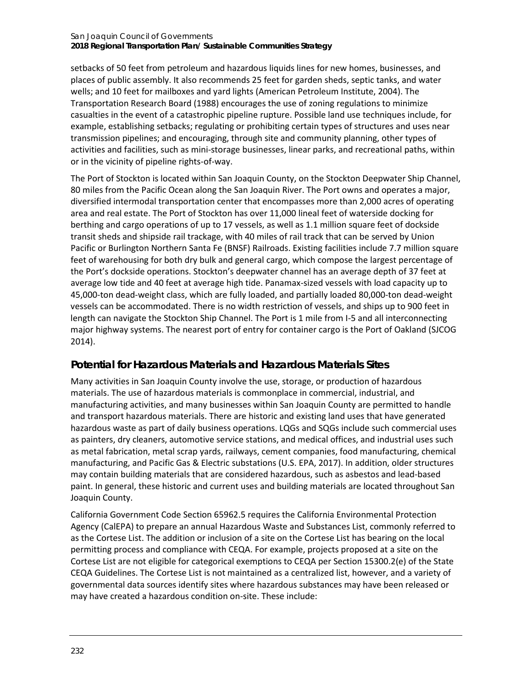#### San Joaquin Council of Governments **2018 Regional Transportation Plan/ Sustainable Communities Strategy**

setbacks of 50 feet from petroleum and hazardous liquids lines for new homes, businesses, and places of public assembly. It also recommends 25 feet for garden sheds, septic tanks, and water wells; and 10 feet for mailboxes and yard lights (American Petroleum Institute, 2004). The Transportation Research Board (1988) encourages the use of zoning regulations to minimize casualties in the event of a catastrophic pipeline rupture. Possible land use techniques include, for example, establishing setbacks; regulating or prohibiting certain types of structures and uses near transmission pipelines; and encouraging, through site and community planning, other types of activities and facilities, such as mini-storage businesses, linear parks, and recreational paths, within or in the vicinity of pipeline rights-of-way.

The Port of Stockton is located within San Joaquin County, on the Stockton Deepwater Ship Channel, 80 miles from the Pacific Ocean along the San Joaquin River. The Port owns and operates a major, diversified intermodal transportation center that encompasses more than 2,000 acres of operating area and real estate. The Port of Stockton has over 11,000 lineal feet of waterside docking for berthing and cargo operations of up to 17 vessels, as well as 1.1 million square feet of dockside transit sheds and shipside rail trackage, with 40 miles of rail track that can be served by Union Pacific or Burlington Northern Santa Fe (BNSF) Railroads. Existing facilities include 7.7 million square feet of warehousing for both dry bulk and general cargo, which compose the largest percentage of the Port's dockside operations. Stockton's deepwater channel has an average depth of 37 feet at average low tide and 40 feet at average high tide. Panamax-sized vessels with load capacity up to 45,000-ton dead-weight class, which are fully loaded, and partially loaded 80,000-ton dead-weight vessels can be accommodated. There is no width restriction of vessels, and ships up to 900 feet in length can navigate the Stockton Ship Channel. The Port is 1 mile from I-5 and all interconnecting major highway systems. The nearest port of entry for container cargo is the Port of Oakland (SJCOG 2014).

# **Potential for Hazardous Materials and Hazardous Materials Sites**

Many activities in San Joaquin County involve the use, storage, or production of hazardous materials. The use of hazardous materials is commonplace in commercial, industrial, and manufacturing activities, and many businesses within San Joaquin County are permitted to handle and transport hazardous materials. There are historic and existing land uses that have generated hazardous waste as part of daily business operations. LQGs and SQGs include such commercial uses as painters, dry cleaners, automotive service stations, and medical offices, and industrial uses such as metal fabrication, metal scrap yards, railways, cement companies, food manufacturing, chemical manufacturing, and Pacific Gas & Electric substations (U.S. EPA, 2017). In addition, older structures may contain building materials that are considered hazardous, such as asbestos and lead-based paint. In general, these historic and current uses and building materials are located throughout San Joaquin County.

California Government Code Section 65962.5 requires the California Environmental Protection Agency (CalEPA) to prepare an annual Hazardous Waste and Substances List, commonly referred to as the Cortese List. The addition or inclusion of a site on the Cortese List has bearing on the local permitting process and compliance with CEQA. For example, projects proposed at a site on the Cortese List are not eligible for categorical exemptions to CEQA per Section 15300.2(e) of the State CEQA Guidelines. The Cortese List is not maintained as a centralized list, however, and a variety of governmental data sources identify sites where hazardous substances may have been released or may have created a hazardous condition on-site. These include: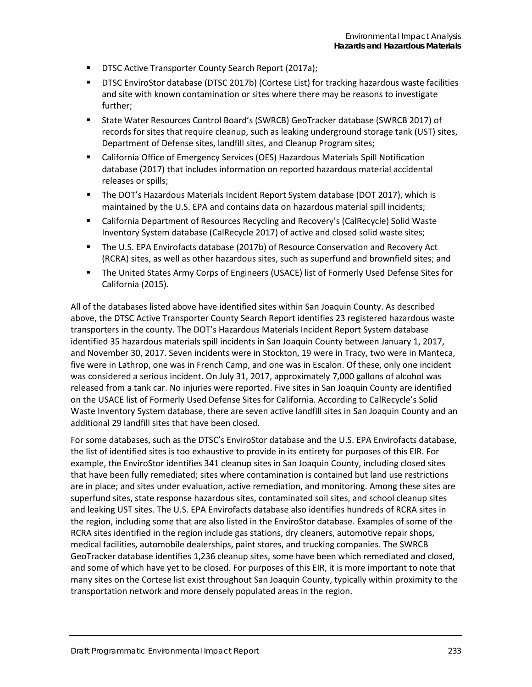- **DTSC Active Transporter County Search Report (2017a);**
- DTSC EnviroStor database (DTSC 2017b) (Cortese List) for tracking hazardous waste facilities and site with known contamination or sites where there may be reasons to investigate further;
- State Water Resources Control Board's (SWRCB) GeoTracker database (SWRCB 2017) of records for sites that require cleanup, such as leaking underground storage tank (UST) sites, Department of Defense sites, landfill sites, and Cleanup Program sites;
- California Office of Emergency Services (OES) Hazardous Materials Spill Notification database (2017) that includes information on reported hazardous material accidental releases or spills;
- The DOT's Hazardous Materials Incident Report System database (DOT 2017), which is maintained by the U.S. EPA and contains data on hazardous material spill incidents;
- California Department of Resources Recycling and Recovery's (CalRecycle) Solid Waste Inventory System database (CalRecycle 2017) of active and closed solid waste sites;
- The U.S. EPA Envirofacts database (2017b) of Resource Conservation and Recovery Act (RCRA) sites, as well as other hazardous sites, such as superfund and brownfield sites; and
- The United States Army Corps of Engineers (USACE) list of Formerly Used Defense Sites for California (2015).

All of the databases listed above have identified sites within San Joaquin County. As described above, the DTSC Active Transporter County Search Report identifies 23 registered hazardous waste transporters in the county. The DOT's Hazardous Materials Incident Report System database identified 35 hazardous materials spill incidents in San Joaquin County between January 1, 2017, and November 30, 2017. Seven incidents were in Stockton, 19 were in Tracy, two were in Manteca, five were in Lathrop, one was in French Camp, and one was in Escalon. Of these, only one incident was considered a serious incident. On July 31, 2017, approximately 7,000 gallons of alcohol was released from a tank car. No injuries were reported. Five sites in San Joaquin County are identified on the USACE list of Formerly Used Defense Sites for California. According to CalRecycle's Solid Waste Inventory System database, there are seven active landfill sites in San Joaquin County and an additional 29 landfill sites that have been closed.

For some databases, such as the DTSC's EnviroStor database and the U.S. EPA Envirofacts database, the list of identified sites is too exhaustive to provide in its entirety for purposes of this EIR. For example, the EnviroStor identifies 341 cleanup sites in San Joaquin County, including closed sites that have been fully remediated; sites where contamination is contained but land use restrictions are in place; and sites under evaluation, active remediation, and monitoring. Among these sites are superfund sites, state response hazardous sites, contaminated soil sites, and school cleanup sites and leaking UST sites. The U.S. EPA Envirofacts database also identifies hundreds of RCRA sites in the region, including some that are also listed in the EnviroStor database. Examples of some of the RCRA sites identified in the region include gas stations, dry cleaners, automotive repair shops, medical facilities, automobile dealerships, paint stores, and trucking companies. The SWRCB GeoTracker database identifies 1,236 cleanup sites, some have been which remediated and closed, and some of which have yet to be closed. For purposes of this EIR, it is more important to note that many sites on the Cortese list exist throughout San Joaquin County, typically within proximity to the transportation network and more densely populated areas in the region.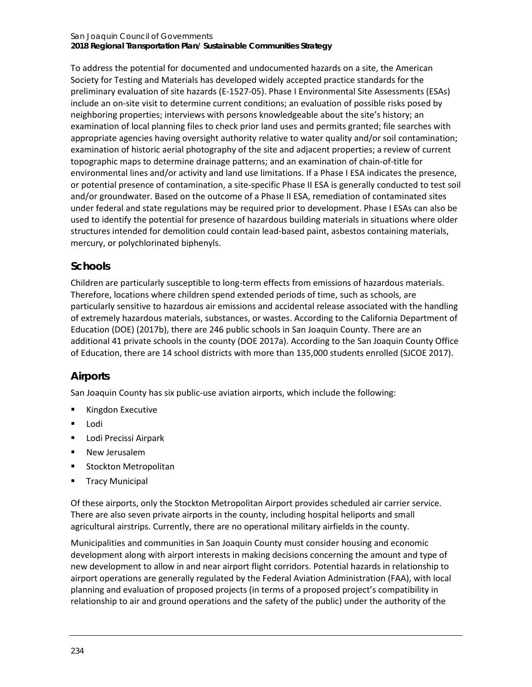#### San Joaquin Council of Governments **2018 Regional Transportation Plan/ Sustainable Communities Strategy**

To address the potential for documented and undocumented hazards on a site, the American Society for Testing and Materials has developed widely accepted practice standards for the preliminary evaluation of site hazards (E-1527-05). Phase I Environmental Site Assessments (ESAs) include an on-site visit to determine current conditions; an evaluation of possible risks posed by neighboring properties; interviews with persons knowledgeable about the site's history; an examination of local planning files to check prior land uses and permits granted; file searches with appropriate agencies having oversight authority relative to water quality and/or soil contamination; examination of historic aerial photography of the site and adjacent properties; a review of current topographic maps to determine drainage patterns; and an examination of chain-of-title for environmental lines and/or activity and land use limitations. If a Phase I ESA indicates the presence, or potential presence of contamination, a site-specific Phase II ESA is generally conducted to test soil and/or groundwater. Based on the outcome of a Phase II ESA, remediation of contaminated sites under federal and state regulations may be required prior to development. Phase I ESAs can also be used to identify the potential for presence of hazardous building materials in situations where older structures intended for demolition could contain lead-based paint, asbestos containing materials, mercury, or polychlorinated biphenyls.

# **Schools**

Children are particularly susceptible to long-term effects from emissions of hazardous materials. Therefore, locations where children spend extended periods of time, such as schools, are particularly sensitive to hazardous air emissions and accidental release associated with the handling of extremely hazardous materials, substances, or wastes. According to the California Department of Education (DOE) (2017b), there are 246 public schools in San Joaquin County. There are an additional 41 private schools in the county (DOE 2017a). According to the San Joaquin County Office of Education, there are 14 school districts with more than 135,000 students enrolled (SJCOE 2017).

# **Airports**

San Joaquin County has six public-use aviation airports, which include the following:

- **Kingdon Executive**
- Lodi
- **-** Lodi Precissi Airpark
- **New Jerusalem**
- **Stockton Metropolitan**
- Tracy Municipal

Of these airports, only the Stockton Metropolitan Airport provides scheduled air carrier service. There are also seven private airports in the county, including hospital heliports and small agricultural airstrips. Currently, there are no operational military airfields in the county.

Municipalities and communities in San Joaquin County must consider housing and economic development along with airport interests in making decisions concerning the amount and type of new development to allow in and near airport flight corridors. Potential hazards in relationship to airport operations are generally regulated by the Federal Aviation Administration (FAA), with local planning and evaluation of proposed projects (in terms of a proposed project's compatibility in relationship to air and ground operations and the safety of the public) under the authority of the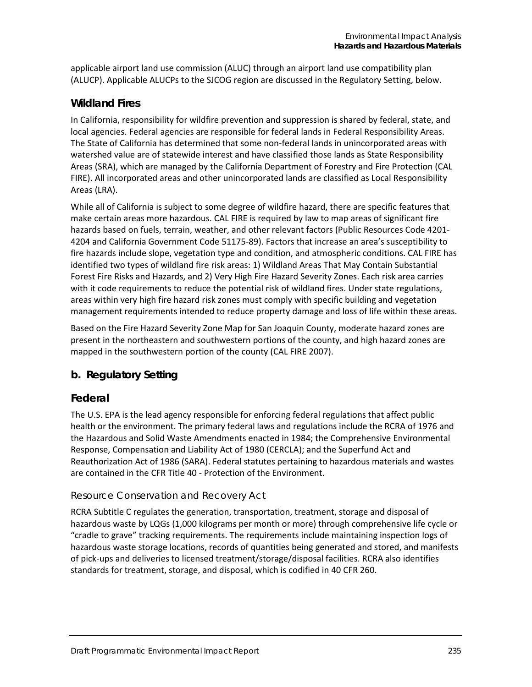applicable airport land use commission (ALUC) through an airport land use compatibility plan (ALUCP). Applicable ALUCPs to the SJCOG region are discussed in the Regulatory Setting, below.

### **Wildland Fires**

In California, responsibility for wildfire prevention and suppression is shared by federal, state, and local agencies. Federal agencies are responsible for federal lands in Federal Responsibility Areas. The State of California has determined that some non-federal lands in unincorporated areas with watershed value are of statewide interest and have classified those lands as State Responsibility Areas (SRA), which are managed by the California Department of Forestry and Fire Protection (CAL FIRE). All incorporated areas and other unincorporated lands are classified as Local Responsibility Areas (LRA).

While all of California is subject to some degree of wildfire hazard, there are specific features that make certain areas more hazardous. CAL FIRE is required by law to map areas of significant fire hazards based on fuels, terrain, weather, and other relevant factors (Public Resources Code 4201- 4204 and California Government Code 51175-89). Factors that increase an area's susceptibility to fire hazards include slope, vegetation type and condition, and atmospheric conditions. CAL FIRE has identified two types of wildland fire risk areas: 1) Wildland Areas That May Contain Substantial Forest Fire Risks and Hazards, and 2) Very High Fire Hazard Severity Zones. Each risk area carries with it code requirements to reduce the potential risk of wildland fires. Under state regulations, areas within very high fire hazard risk zones must comply with specific building and vegetation management requirements intended to reduce property damage and loss of life within these areas.

Based on the Fire Hazard Severity Zone Map for San Joaquin County, moderate hazard zones are present in the northeastern and southwestern portions of the county, and high hazard zones are mapped in the southwestern portion of the county (CAL FIRE 2007).

### **b. Regulatory Setting**

### **Federal**

The U.S. EPA is the lead agency responsible for enforcing federal regulations that affect public health or the environment. The primary federal laws and regulations include the RCRA of 1976 and the Hazardous and Solid Waste Amendments enacted in 1984; the Comprehensive Environmental Response, Compensation and Liability Act of 1980 (CERCLA); and the Superfund Act and Reauthorization Act of 1986 (SARA). Federal statutes pertaining to hazardous materials and wastes are contained in the CFR Title 40 - Protection of the Environment.

#### *Resource Conservation and Recovery Act*

RCRA Subtitle C regulates the generation, transportation, treatment, storage and disposal of hazardous waste by LQGs (1,000 kilograms per month or more) through comprehensive life cycle or "cradle to grave" tracking requirements. The requirements include maintaining inspection logs of hazardous waste storage locations, records of quantities being generated and stored, and manifests of pick-ups and deliveries to licensed treatment/storage/disposal facilities. RCRA also identifies standards for treatment, storage, and disposal, which is codified in 40 CFR 260.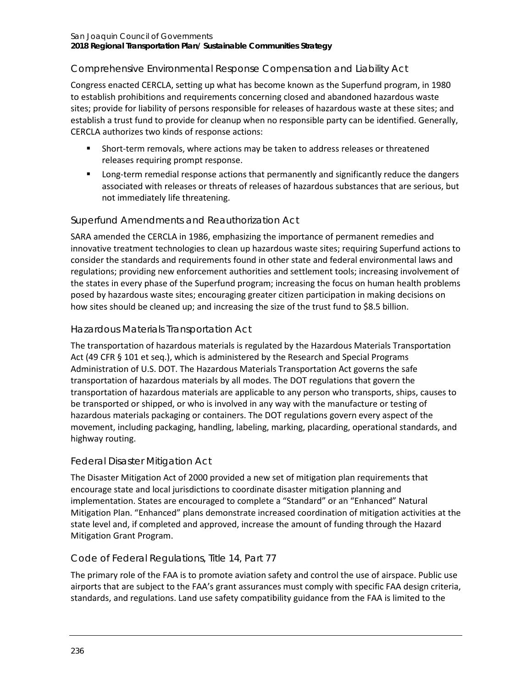# *Comprehensive Environmental Response Compensation and Liability Act*

Congress enacted CERCLA, setting up what has become known as the Superfund program, in 1980 to establish prohibitions and requirements concerning closed and abandoned hazardous waste sites; provide for liability of persons responsible for releases of hazardous waste at these sites; and establish a trust fund to provide for cleanup when no responsible party can be identified. Generally, CERCLA authorizes two kinds of response actions:

- Short-term removals, where actions may be taken to address releases or threatened releases requiring prompt response.
- **EXECT** Long-term remedial response actions that permanently and significantly reduce the dangers associated with releases or threats of releases of hazardous substances that are serious, but not immediately life threatening.

## *Superfund Amendments and Reauthorization Act*

SARA amended the CERCLA in 1986, emphasizing the importance of permanent remedies and innovative treatment technologies to clean up hazardous waste sites; requiring Superfund actions to consider the standards and requirements found in other state and federal environmental laws and regulations; providing new enforcement authorities and settlement tools; increasing involvement of the states in every phase of the Superfund program; increasing the focus on human health problems posed by hazardous waste sites; encouraging greater citizen participation in making decisions on how sites should be cleaned up; and increasing the size of the trust fund to \$8.5 billion.

## *Hazardous Materials Transportation Act*

The transportation of hazardous materials is regulated by the Hazardous Materials Transportation Act (49 CFR § 101 et seq.), which is administered by the Research and Special Programs Administration of U.S. DOT. The Hazardous Materials Transportation Act governs the safe transportation of hazardous materials by all modes. The DOT regulations that govern the transportation of hazardous materials are applicable to any person who transports, ships, causes to be transported or shipped, or who is involved in any way with the manufacture or testing of hazardous materials packaging or containers. The DOT regulations govern every aspect of the movement, including packaging, handling, labeling, marking, placarding, operational standards, and highway routing.

## *Federal Disaster Mitigation Act*

The Disaster Mitigation Act of 2000 provided a new set of mitigation plan requirements that encourage state and local jurisdictions to coordinate disaster mitigation planning and implementation. States are encouraged to complete a "Standard" or an "Enhanced" Natural Mitigation Plan. "Enhanced" plans demonstrate increased coordination of mitigation activities at the state level and, if completed and approved, increase the amount of funding through the Hazard Mitigation Grant Program.

### *Code of Federal Regulations, Title 14, Part 77*

The primary role of the FAA is to promote aviation safety and control the use of airspace. Public use airports that are subject to the FAA's grant assurances must comply with specific FAA design criteria, standards, and regulations. Land use safety compatibility guidance from the FAA is limited to the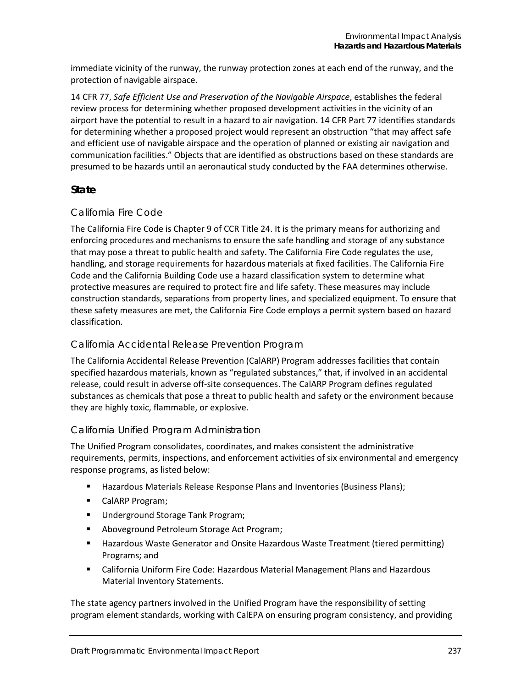immediate vicinity of the runway, the runway protection zones at each end of the runway, and the protection of navigable airspace.

14 CFR 77, *Safe Efficient Use and Preservation of the Navigable Airspace*, establishes the federal review process for determining whether proposed development activities in the vicinity of an airport have the potential to result in a hazard to air navigation. 14 CFR Part 77 identifies standards for determining whether a proposed project would represent an obstruction "that may affect safe and efficient use of navigable airspace and the operation of planned or existing air navigation and communication facilities." Objects that are identified as obstructions based on these standards are presumed to be hazards until an aeronautical study conducted by the FAA determines otherwise.

### **State**

### *California Fire Code*

The California Fire Code is Chapter 9 of CCR Title 24. It is the primary means for authorizing and enforcing procedures and mechanisms to ensure the safe handling and storage of any substance that may pose a threat to public health and safety. The California Fire Code regulates the use, handling, and storage requirements for hazardous materials at fixed facilities. The California Fire Code and the California Building Code use a hazard classification system to determine what protective measures are required to protect fire and life safety. These measures may include construction standards, separations from property lines, and specialized equipment. To ensure that these safety measures are met, the California Fire Code employs a permit system based on hazard classification.

### *California Accidental Release Prevention Program*

The California Accidental Release Prevention (CalARP) Program addresses facilities that contain specified hazardous materials, known as "regulated substances," that, if involved in an accidental release, could result in adverse off-site consequences. The CalARP Program defines regulated substances as chemicals that pose a threat to public health and safety or the environment because they are highly toxic, flammable, or explosive.

### *California Unified Program Administration*

The Unified Program consolidates, coordinates, and makes consistent the administrative requirements, permits, inspections, and enforcement activities of six environmental and emergency response programs, as listed below:

- **Hazardous Materials Release Response Plans and Inventories (Business Plans);**
- **E** CalARP Program;
- **Underground Storage Tank Program;**
- **Aboveground Petroleum Storage Act Program;**
- Hazardous Waste Generator and Onsite Hazardous Waste Treatment (tiered permitting) Programs; and
- California Uniform Fire Code: Hazardous Material Management Plans and Hazardous Material Inventory Statements.

The state agency partners involved in the Unified Program have the responsibility of setting program element standards, working with CalEPA on ensuring program consistency, and providing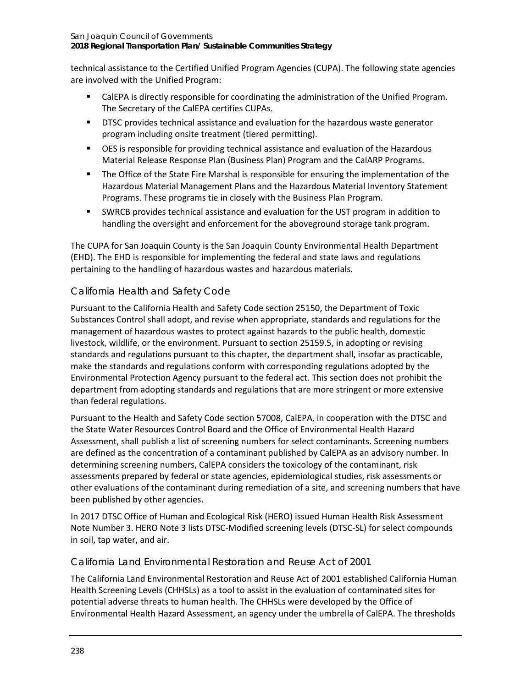#### San Joaquin Council of Governments **2018 Regional Transportation Plan/ Sustainable Communities Strategy**

technical assistance to the Certified Unified Program Agencies (CUPA). The following state agencies are involved with the Unified Program:

- **EXECT A IS CALEPA** is directly responsible for coordinating the administration of the Unified Program. The Secretary of the CalEPA certifies CUPAs.
- DTSC provides technical assistance and evaluation for the hazardous waste generator program including onsite treatment (tiered permitting).
- OES is responsible for providing technical assistance and evaluation of the Hazardous Material Release Response Plan (Business Plan) Program and the CalARP Programs.
- The Office of the State Fire Marshal is responsible for ensuring the implementation of the Hazardous Material Management Plans and the Hazardous Material Inventory Statement Programs. These programs tie in closely with the Business Plan Program.
- SWRCB provides technical assistance and evaluation for the UST program in addition to handling the oversight and enforcement for the aboveground storage tank program.

The CUPA for San Joaquin County is the San Joaquin County Environmental Health Department (EHD). The EHD is responsible for implementing the federal and state laws and regulations pertaining to the handling of hazardous wastes and hazardous materials.

# *California Health and Safety Code*

Pursuant to the California Health and Safety Code section 25150, the Department of Toxic Substances Control shall adopt, and revise when appropriate, standards and regulations for the management of hazardous wastes to protect against hazards to the public health, domestic livestock, wildlife, or the environment. Pursuant to section 25159.5, in adopting or revising standards and regulations pursuant to this chapter, the department shall, insofar as practicable, make the standards and regulations conform with corresponding regulations adopted by the Environmental Protection Agency pursuant to the federal act. This section does not prohibit the department from adopting standards and regulations that are more stringent or more extensive than federal regulations.

Pursuant to the Health and Safety Code section 57008, CalEPA, in cooperation with the DTSC and the State Water Resources Control Board and the Office of Environmental Health Hazard Assessment, shall publish a list of screening numbers for select contaminants. Screening numbers are defined as the concentration of a contaminant published by CalEPA as an advisory number. In determining screening numbers, CalEPA considers the toxicology of the contaminant, risk assessments prepared by federal or state agencies, epidemiological studies, risk assessments or other evaluations of the contaminant during remediation of a site, and screening numbers that have been published by other agencies.

In 2017 DTSC Office of Human and Ecological Risk (HERO) issued Human Health Risk Assessment Note Number 3. HERO Note 3 lists DTSC-Modified screening levels (DTSC-SL) for select compounds in soil, tap water, and air.

### *California Land Environmental Restoration and Reuse Act of 2001*

The California Land Environmental Restoration and Reuse Act of 2001 established California Human Health Screening Levels (CHHSLs) as a tool to assist in the evaluation of contaminated sites for potential adverse threats to human health. The CHHSLs were developed by the Office of Environmental Health Hazard Assessment, an agency under the umbrella of CalEPA. The thresholds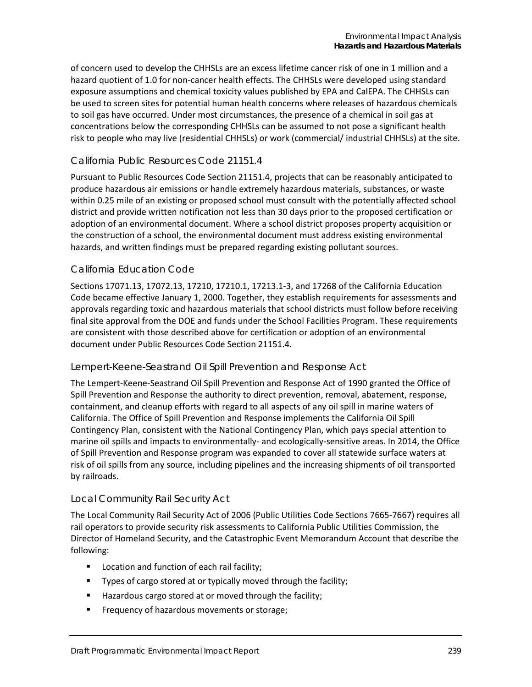of concern used to develop the CHHSLs are an excess lifetime cancer risk of one in 1 million and a hazard quotient of 1.0 for non-cancer health effects. The CHHSLs were developed using standard exposure assumptions and chemical toxicity values published by EPA and CalEPA. The CHHSLs can be used to screen sites for potential human health concerns where releases of hazardous chemicals to soil gas have occurred. Under most circumstances, the presence of a chemical in soil gas at concentrations below the corresponding CHHSLs can be assumed to not pose a significant health risk to people who may live (residential CHHSLs) or work (commercial/ industrial CHHSLs) at the site.

#### *California Public Resources Code 21151.4*

Pursuant to Public Resources Code Section 21151.4, projects that can be reasonably anticipated to produce hazardous air emissions or handle extremely hazardous materials, substances, or waste within 0.25 mile of an existing or proposed school must consult with the potentially affected school district and provide written notification not less than 30 days prior to the proposed certification or adoption of an environmental document. Where a school district proposes property acquisition or the construction of a school, the environmental document must address existing environmental hazards, and written findings must be prepared regarding existing pollutant sources.

### *California Education Code*

Sections 17071.13, 17072.13, 17210, 17210.1, 17213.1-3, and 17268 of the California Education Code became effective January 1, 2000. Together, they establish requirements for assessments and approvals regarding toxic and hazardous materials that school districts must follow before receiving final site approval from the DOE and funds under the School Facilities Program. These requirements are consistent with those described above for certification or adoption of an environmental document under Public Resources Code Section 21151.4.

#### *Lempert-Keene-Seastrand Oil Spill Prevention and Response Act*

The Lempert-Keene-Seastrand Oil Spill Prevention and Response Act of 1990 granted the Office of Spill Prevention and Response the authority to direct prevention, removal, abatement, response, containment, and cleanup efforts with regard to all aspects of any oil spill in marine waters of California. The Office of Spill Prevention and Response implements the California Oil Spill Contingency Plan, consistent with the National Contingency Plan, which pays special attention to marine oil spills and impacts to environmentally- and ecologically-sensitive areas. In 2014, the Office of Spill Prevention and Response program was expanded to cover all statewide surface waters at risk of oil spills from any source, including pipelines and the increasing shipments of oil transported by railroads.

#### *Local Community Rail Security Act*

The Local Community Rail Security Act of 2006 (Public Utilities Code Sections 7665-7667) requires all rail operators to provide security risk assessments to California Public Utilities Commission, the Director of Homeland Security, and the Catastrophic Event Memorandum Account that describe the following:

- **Location and function of each rail facility;**
- **Types of cargo stored at or typically moved through the facility;**
- Hazardous cargo stored at or moved through the facility;
- **Figure 1** Frequency of hazardous movements or storage;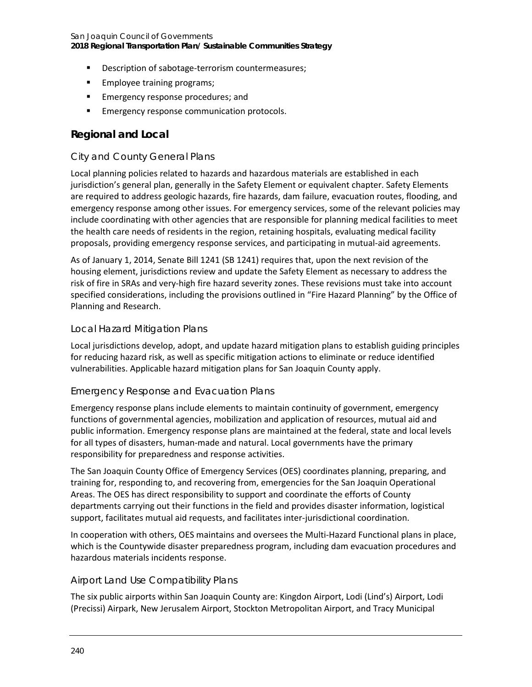- Description of sabotage-terrorism countermeasures;
- **Employee training programs;**
- **Emergency response procedures; and**
- Emergency response communication protocols.

## **Regional and Local**

### *City and County General Plans*

Local planning policies related to hazards and hazardous materials are established in each jurisdiction's general plan, generally in the Safety Element or equivalent chapter. Safety Elements are required to address geologic hazards, fire hazards, dam failure, evacuation routes, flooding, and emergency response among other issues. For emergency services, some of the relevant policies may include coordinating with other agencies that are responsible for planning medical facilities to meet the health care needs of residents in the region, retaining hospitals, evaluating medical facility proposals, providing emergency response services, and participating in mutual-aid agreements.

As of January 1, 2014, Senate Bill 1241 (SB 1241) requires that, upon the next revision of the housing element, jurisdictions review and update the Safety Element as necessary to address the risk of fire in SRAs and very-high fire hazard severity zones. These revisions must take into account specified considerations, including the provisions outlined in "Fire Hazard Planning" by the Office of Planning and Research.

### *Local Hazard Mitigation Plans*

Local jurisdictions develop, adopt, and update hazard mitigation plans to establish guiding principles for reducing hazard risk, as well as specific mitigation actions to eliminate or reduce identified vulnerabilities. Applicable hazard mitigation plans for San Joaquin County apply.

### *Emergency Response and Evacuation Plans*

Emergency response plans include elements to maintain continuity of government, emergency functions of governmental agencies, mobilization and application of resources, mutual aid and public information. Emergency response plans are maintained at the federal, state and local levels for all types of disasters, human-made and natural. Local governments have the primary responsibility for preparedness and response activities.

The San Joaquin County Office of Emergency Services (OES) coordinates planning, preparing, and training for, responding to, and recovering from, emergencies for the San Joaquin Operational Areas. The OES has direct responsibility to support and coordinate the efforts of County departments carrying out their functions in the field and provides disaster information, logistical support, facilitates mutual aid requests, and facilitates inter-jurisdictional coordination.

In cooperation with others, OES maintains and oversees the Multi-Hazard Functional plans in place, which is the Countywide disaster preparedness program, including dam evacuation procedures and hazardous materials incidents response.

### *Airport Land Use Compatibility Plans*

The six public airports within San Joaquin County are: Kingdon Airport, Lodi (Lind's) Airport, Lodi (Precissi) Airpark, New Jerusalem Airport, Stockton Metropolitan Airport, and Tracy Municipal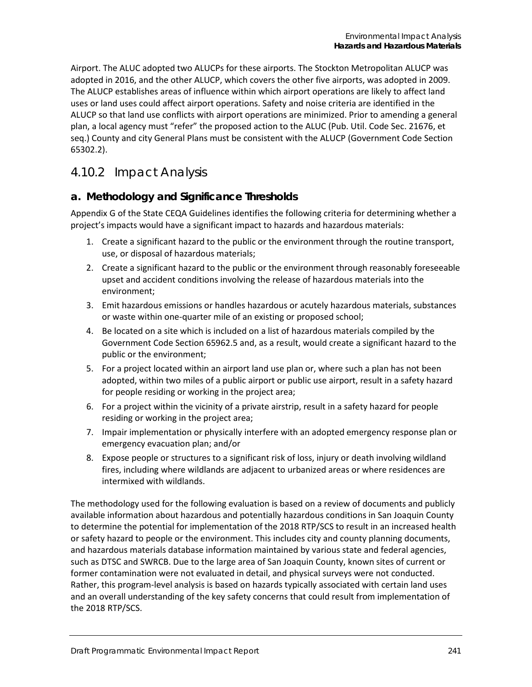Airport. The ALUC adopted two ALUCPs for these airports. The Stockton Metropolitan ALUCP was adopted in 2016, and the other ALUCP, which covers the other five airports, was adopted in 2009. The ALUCP establishes areas of influence within which airport operations are likely to affect land uses or land uses could affect airport operations. Safety and noise criteria are identified in the ALUCP so that land use conflicts with airport operations are minimized. Prior to amending a general plan, a local agency must "refer" the proposed action to the ALUC (Pub. Util. Code Sec. 21676, et seq.) County and city General Plans must be consistent with the ALUCP (Government Code Section 65302.2).

# 4.10.2 Impact Analysis

# **a. Methodology and Significance Thresholds**

Appendix G of the State CEQA Guidelines identifies the following criteria for determining whether a project's impacts would have a significant impact to hazards and hazardous materials:

- 1. Create a significant hazard to the public or the environment through the routine transport, use, or disposal of hazardous materials;
- 2. Create a significant hazard to the public or the environment through reasonably foreseeable upset and accident conditions involving the release of hazardous materials into the environment;
- 3. Emit hazardous emissions or handles hazardous or acutely hazardous materials, substances or waste within one-quarter mile of an existing or proposed school;
- 4. Be located on a site which is included on a list of hazardous materials compiled by the Government Code Section 65962.5 and, as a result, would create a significant hazard to the public or the environment;
- 5. For a project located within an airport land use plan or, where such a plan has not been adopted, within two miles of a public airport or public use airport, result in a safety hazard for people residing or working in the project area;
- 6. For a project within the vicinity of a private airstrip, result in a safety hazard for people residing or working in the project area;
- 7. Impair implementation or physically interfere with an adopted emergency response plan or emergency evacuation plan; and/or
- 8. Expose people or structures to a significant risk of loss, injury or death involving wildland fires, including where wildlands are adjacent to urbanized areas or where residences are intermixed with wildlands.

The methodology used for the following evaluation is based on a review of documents and publicly available information about hazardous and potentially hazardous conditions in San Joaquin County to determine the potential for implementation of the 2018 RTP/SCS to result in an increased health or safety hazard to people or the environment. This includes city and county planning documents, and hazardous materials database information maintained by various state and federal agencies, such as DTSC and SWRCB. Due to the large area of San Joaquin County, known sites of current or former contamination were not evaluated in detail, and physical surveys were not conducted. Rather, this program-level analysis is based on hazards typically associated with certain land uses and an overall understanding of the key safety concerns that could result from implementation of the 2018 RTP/SCS.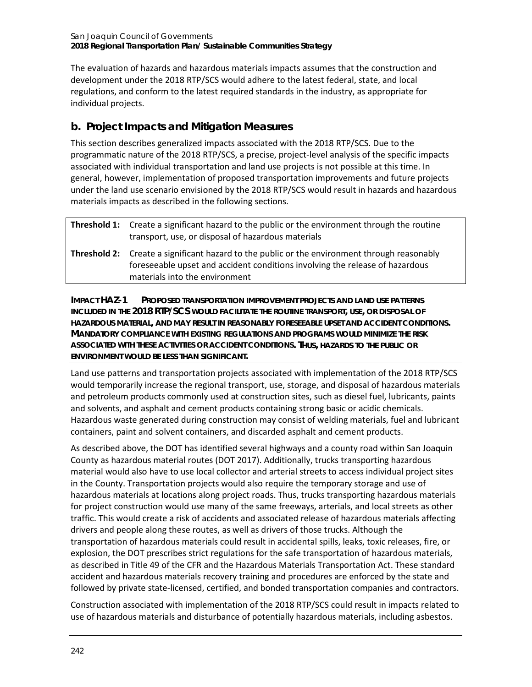The evaluation of hazards and hazardous materials impacts assumes that the construction and development under the 2018 RTP/SCS would adhere to the latest federal, state, and local regulations, and conform to the latest required standards in the industry, as appropriate for individual projects.

# **b. Project Impacts and Mitigation Measures**

This section describes generalized impacts associated with the 2018 RTP/SCS. Due to the programmatic nature of the 2018 RTP/SCS, a precise, project-level analysis of the specific impacts associated with individual transportation and land use projects is not possible at this time. In general, however, implementation of proposed transportation improvements and future projects under the land use scenario envisioned by the 2018 RTP/SCS would result in hazards and hazardous materials impacts as described in the following sections.

| <b>Threshold 1:</b> Create a significant hazard to the public or the environment through the routine<br>transport, use, or disposal of hazardous materials                                                            |
|-----------------------------------------------------------------------------------------------------------------------------------------------------------------------------------------------------------------------|
| <b>Threshold 2:</b> Create a significant hazard to the public or the environment through reasonably<br>foreseeable upset and accident conditions involving the release of hazardous<br>materials into the environment |

**IMPACT HAZ-1 PROPOSED TRANSPORTATION IMPROVEMENT PROJECTS AND LAND USE PATTERNS INCLUDED IN THE 2018 RTP/SCS WOULD FACILITATE THE ROUTINE TRANSPORT, USE, OR DISPOSAL OF HAZARDOUS MATERIAL, AND MAY RESULT IN REASONABLY FORESEEABLE UPSET AND ACCIDENT CONDITIONS. MANDATORY COMPLIANCE WITH EXISTING REGULATIONS AND PROGRAMS WOULD MINIMIZE THE RISK ASSOCIATED WITH THESE ACTIVITIES OR ACCIDENT CONDITIONS. THUS, HAZARDS TO THE PUBLIC OR ENVIRONMENT WOULD BE LESS THAN SIGNIFICANT.**

Land use patterns and transportation projects associated with implementation of the 2018 RTP/SCS would temporarily increase the regional transport, use, storage, and disposal of hazardous materials and petroleum products commonly used at construction sites, such as diesel fuel, lubricants, paints and solvents, and asphalt and cement products containing strong basic or acidic chemicals. Hazardous waste generated during construction may consist of welding materials, fuel and lubricant containers, paint and solvent containers, and discarded asphalt and cement products.

As described above, the DOT has identified several highways and a county road within San Joaquin County as hazardous material routes (DOT 2017). Additionally, trucks transporting hazardous material would also have to use local collector and arterial streets to access individual project sites in the County. Transportation projects would also require the temporary storage and use of hazardous materials at locations along project roads. Thus, trucks transporting hazardous materials for project construction would use many of the same freeways, arterials, and local streets as other traffic. This would create a risk of accidents and associated release of hazardous materials affecting drivers and people along these routes, as well as drivers of those trucks. Although the transportation of hazardous materials could result in accidental spills, leaks, toxic releases, fire, or explosion, the DOT prescribes strict regulations for the safe transportation of hazardous materials, as described in Title 49 of the CFR and the Hazardous Materials Transportation Act. These standard accident and hazardous materials recovery training and procedures are enforced by the state and followed by private state-licensed, certified, and bonded transportation companies and contractors.

Construction associated with implementation of the 2018 RTP/SCS could result in impacts related to use of hazardous materials and disturbance of potentially hazardous materials, including asbestos.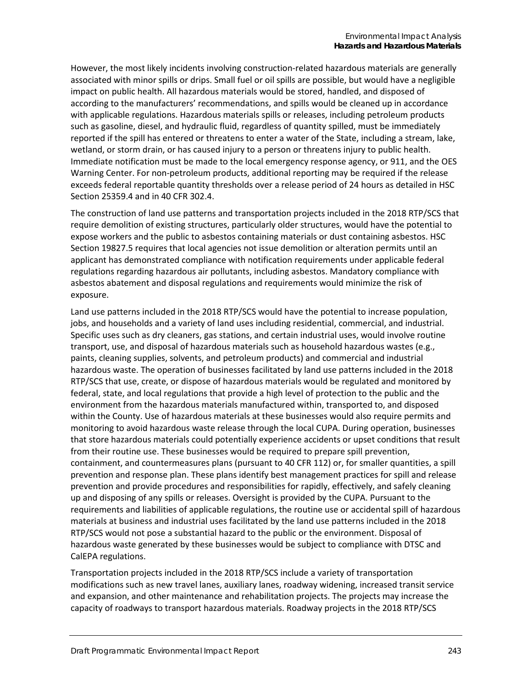However, the most likely incidents involving construction-related hazardous materials are generally associated with minor spills or drips. Small fuel or oil spills are possible, but would have a negligible impact on public health. All hazardous materials would be stored, handled, and disposed of according to the manufacturers' recommendations, and spills would be cleaned up in accordance with applicable regulations. Hazardous materials spills or releases, including petroleum products such as gasoline, diesel, and hydraulic fluid, regardless of quantity spilled, must be immediately reported if the spill has entered or threatens to enter a water of the State, including a stream, lake, wetland, or storm drain, or has caused injury to a person or threatens injury to public health. Immediate notification must be made to the local emergency response agency, or 911, and the OES Warning Center. For non-petroleum products, additional reporting may be required if the release exceeds federal reportable quantity thresholds over a release period of 24 hours as detailed in HSC Section 25359.4 and in 40 CFR 302.4.

The construction of land use patterns and transportation projects included in the 2018 RTP/SCS that require demolition of existing structures, particularly older structures, would have the potential to expose workers and the public to asbestos containing materials or dust containing asbestos. HSC Section 19827.5 requires that local agencies not issue demolition or alteration permits until an applicant has demonstrated compliance with notification requirements under applicable federal regulations regarding hazardous air pollutants, including asbestos. Mandatory compliance with asbestos abatement and disposal regulations and requirements would minimize the risk of exposure.

Land use patterns included in the 2018 RTP/SCS would have the potential to increase population, jobs, and households and a variety of land uses including residential, commercial, and industrial. Specific uses such as dry cleaners, gas stations, and certain industrial uses, would involve routine transport, use, and disposal of hazardous materials such as household hazardous wastes (e.g., paints, cleaning supplies, solvents, and petroleum products) and commercial and industrial hazardous waste. The operation of businesses facilitated by land use patterns included in the 2018 RTP/SCS that use, create, or dispose of hazardous materials would be regulated and monitored by federal, state, and local regulations that provide a high level of protection to the public and the environment from the hazardous materials manufactured within, transported to, and disposed within the County. Use of hazardous materials at these businesses would also require permits and monitoring to avoid hazardous waste release through the local CUPA. During operation, businesses that store hazardous materials could potentially experience accidents or upset conditions that result from their routine use. These businesses would be required to prepare spill prevention, containment, and countermeasures plans (pursuant to 40 CFR 112) or, for smaller quantities, a spill prevention and response plan. These plans identify best management practices for spill and release prevention and provide procedures and responsibilities for rapidly, effectively, and safely cleaning up and disposing of any spills or releases. Oversight is provided by the CUPA. Pursuant to the requirements and liabilities of applicable regulations, the routine use or accidental spill of hazardous materials at business and industrial uses facilitated by the land use patterns included in the 2018 RTP/SCS would not pose a substantial hazard to the public or the environment. Disposal of hazardous waste generated by these businesses would be subject to compliance with DTSC and CalEPA regulations.

Transportation projects included in the 2018 RTP/SCS include a variety of transportation modifications such as new travel lanes, auxiliary lanes, roadway widening, increased transit service and expansion, and other maintenance and rehabilitation projects. The projects may increase the capacity of roadways to transport hazardous materials. Roadway projects in the 2018 RTP/SCS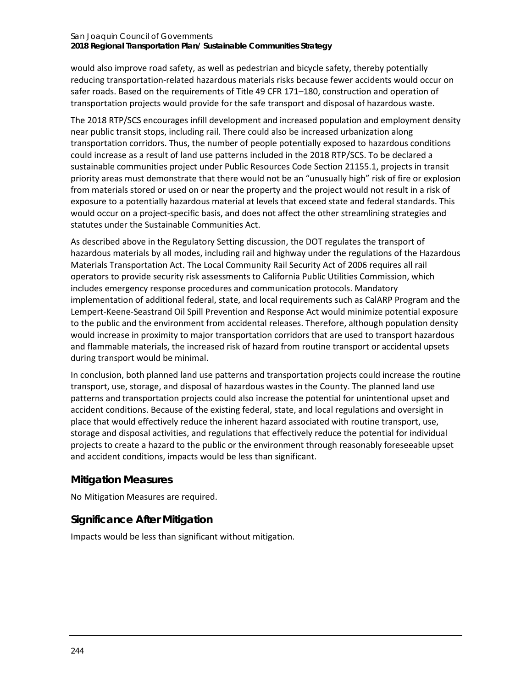#### San Joaquin Council of Governments **2018 Regional Transportation Plan/ Sustainable Communities Strategy**

would also improve road safety, as well as pedestrian and bicycle safety, thereby potentially reducing transportation-related hazardous materials risks because fewer accidents would occur on safer roads. Based on the requirements of Title 49 CFR 171–180, construction and operation of transportation projects would provide for the safe transport and disposal of hazardous waste.

The 2018 RTP/SCS encourages infill development and increased population and employment density near public transit stops, including rail. There could also be increased urbanization along transportation corridors. Thus, the number of people potentially exposed to hazardous conditions could increase as a result of land use patterns included in the 2018 RTP/SCS. To be declared a sustainable communities project under Public Resources Code Section 21155.1, projects in transit priority areas must demonstrate that there would not be an "unusually high" risk of fire or explosion from materials stored or used on or near the property and the project would not result in a risk of exposure to a potentially hazardous material at levels that exceed state and federal standards. This would occur on a project-specific basis, and does not affect the other streamlining strategies and statutes under the Sustainable Communities Act.

As described above in the Regulatory Setting discussion, the DOT regulates the transport of hazardous materials by all modes, including rail and highway under the regulations of the Hazardous Materials Transportation Act. The Local Community Rail Security Act of 2006 requires all rail operators to provide security risk assessments to California Public Utilities Commission, which includes emergency response procedures and communication protocols. Mandatory implementation of additional federal, state, and local requirements such as CalARP Program and the Lempert-Keene-Seastrand Oil Spill Prevention and Response Act would minimize potential exposure to the public and the environment from accidental releases. Therefore, although population density would increase in proximity to major transportation corridors that are used to transport hazardous and flammable materials, the increased risk of hazard from routine transport or accidental upsets during transport would be minimal.

In conclusion, both planned land use patterns and transportation projects could increase the routine transport, use, storage, and disposal of hazardous wastes in the County. The planned land use patterns and transportation projects could also increase the potential for unintentional upset and accident conditions. Because of the existing federal, state, and local regulations and oversight in place that would effectively reduce the inherent hazard associated with routine transport, use, storage and disposal activities, and regulations that effectively reduce the potential for individual projects to create a hazard to the public or the environment through reasonably foreseeable upset and accident conditions, impacts would be less than significant.

## **Mitigation Measures**

No Mitigation Measures are required.

# **Significance After Mitigation**

Impacts would be less than significant without mitigation.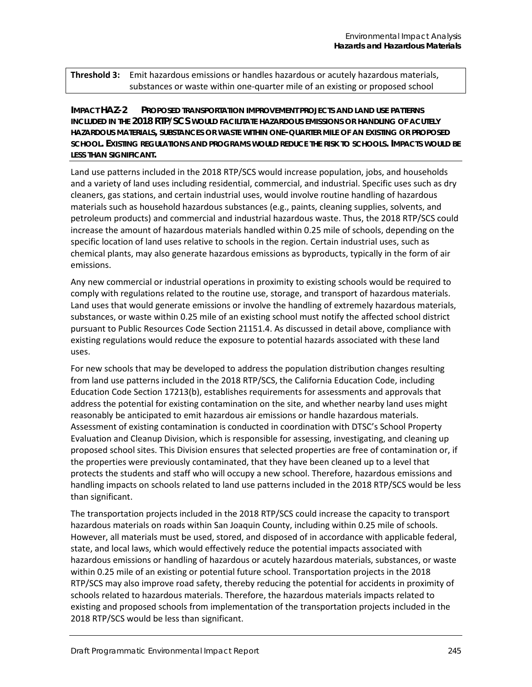**Threshold 3:** Emit hazardous emissions or handles hazardous or acutely hazardous materials, substances or waste within one-quarter mile of an existing or proposed school

**IMPACT HAZ-2 PROPOSED TRANSPORTATION IMPROVEMENT PROJECTS AND LAND USE PATTERNS INCLUDED IN THE 2018 RTP/SCS WOULD FACILITATE HAZARDOUS EMISSIONS OR HANDLING OF ACUTELY HAZARDOUS MATERIALS, SUBSTANCES OR WASTE WITHIN ONE-QUARTER MILE OF AN EXISTING OR PROPOSED SCHOOL. EXISTING REGULATIONS AND PROGRAMS WOULD REDUCE THE RISK TO SCHOOLS. IMPACTS WOULD BE LESS THAN SIGNIFICANT.**

Land use patterns included in the 2018 RTP/SCS would increase population, jobs, and households and a variety of land uses including residential, commercial, and industrial. Specific uses such as dry cleaners, gas stations, and certain industrial uses, would involve routine handling of hazardous materials such as household hazardous substances (e.g., paints, cleaning supplies, solvents, and petroleum products) and commercial and industrial hazardous waste. Thus, the 2018 RTP/SCS could increase the amount of hazardous materials handled within 0.25 mile of schools, depending on the specific location of land uses relative to schools in the region. Certain industrial uses, such as chemical plants, may also generate hazardous emissions as byproducts, typically in the form of air emissions.

Any new commercial or industrial operations in proximity to existing schools would be required to comply with regulations related to the routine use, storage, and transport of hazardous materials. Land uses that would generate emissions or involve the handling of extremely hazardous materials, substances, or waste within 0.25 mile of an existing school must notify the affected school district pursuant to Public Resources Code Section 21151.4. As discussed in detail above, compliance with existing regulations would reduce the exposure to potential hazards associated with these land uses.

For new schools that may be developed to address the population distribution changes resulting from land use patterns included in the 2018 RTP/SCS, the California Education Code, including Education Code Section 17213(b), establishes requirements for assessments and approvals that address the potential for existing contamination on the site, and whether nearby land uses might reasonably be anticipated to emit hazardous air emissions or handle hazardous materials. Assessment of existing contamination is conducted in coordination with DTSC's School Property Evaluation and Cleanup Division, which is responsible for assessing, investigating, and cleaning up proposed school sites. This Division ensures that selected properties are free of contamination or, if the properties were previously contaminated, that they have been cleaned up to a level that protects the students and staff who will occupy a new school. Therefore, hazardous emissions and handling impacts on schools related to land use patterns included in the 2018 RTP/SCS would be less than significant.

The transportation projects included in the 2018 RTP/SCS could increase the capacity to transport hazardous materials on roads within San Joaquin County, including within 0.25 mile of schools. However, all materials must be used, stored, and disposed of in accordance with applicable federal, state, and local laws, which would effectively reduce the potential impacts associated with hazardous emissions or handling of hazardous or acutely hazardous materials, substances, or waste within 0.25 mile of an existing or potential future school. Transportation projects in the 2018 RTP/SCS may also improve road safety, thereby reducing the potential for accidents in proximity of schools related to hazardous materials. Therefore, the hazardous materials impacts related to existing and proposed schools from implementation of the transportation projects included in the 2018 RTP/SCS would be less than significant.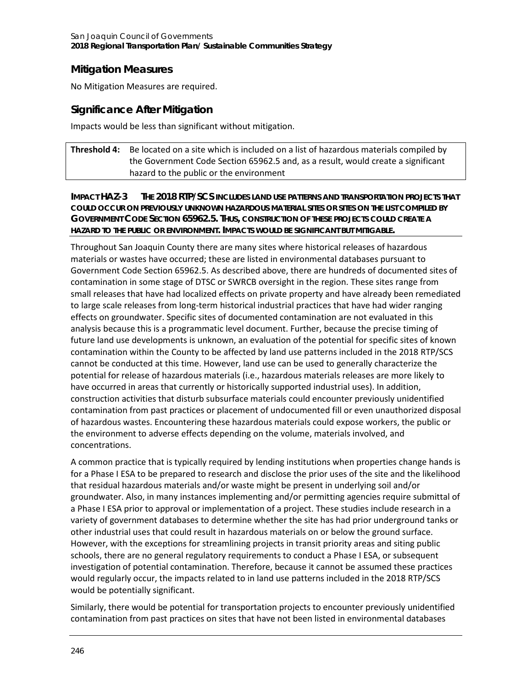# **Mitigation Measures**

No Mitigation Measures are required.

# **Significance After Mitigation**

Impacts would be less than significant without mitigation.

**Threshold 4:** Be located on a site which is included on a list of hazardous materials compiled by the Government Code Section 65962.5 and, as a result, would create a significant hazard to the public or the environment

**IMPACT HAZ-3 THE 2018 RTP/SCS INCLUDES LAND USE PATTERNS AND TRANSPORTATION PROJECTS THAT COULD OCCUR ON PREVIOUSLY UNKNOWN HAZARDOUS MATERIAL SITES OR SITES ON THE LIST COMPILED BY GOVERNMENT CODE SECTION 65962.5. THUS, CONSTRUCTION OF THESE PROJECTS COULD CREATE A HAZARD TO THE PUBLIC OR ENVIRONMENT. IMPACTS WOULD BE SIGNIFICANT BUT MITIGABLE.**

Throughout San Joaquin County there are many sites where historical releases of hazardous materials or wastes have occurred; these are listed in environmental databases pursuant to Government Code Section 65962.5. As described above, there are hundreds of documented sites of contamination in some stage of DTSC or SWRCB oversight in the region. These sites range from small releases that have had localized effects on private property and have already been remediated to large scale releases from long-term historical industrial practices that have had wider ranging effects on groundwater. Specific sites of documented contamination are not evaluated in this analysis because this is a programmatic level document. Further, because the precise timing of future land use developments is unknown, an evaluation of the potential for specific sites of known contamination within the County to be affected by land use patterns included in the 2018 RTP/SCS cannot be conducted at this time. However, land use can be used to generally characterize the potential for release of hazardous materials (i.e., hazardous materials releases are more likely to have occurred in areas that currently or historically supported industrial uses). In addition, construction activities that disturb subsurface materials could encounter previously unidentified contamination from past practices or placement of undocumented fill or even unauthorized disposal of hazardous wastes. Encountering these hazardous materials could expose workers, the public or the environment to adverse effects depending on the volume, materials involved, and concentrations.

A common practice that is typically required by lending institutions when properties change hands is for a Phase I ESA to be prepared to research and disclose the prior uses of the site and the likelihood that residual hazardous materials and/or waste might be present in underlying soil and/or groundwater. Also, in many instances implementing and/or permitting agencies require submittal of a Phase I ESA prior to approval or implementation of a project. These studies include research in a variety of government databases to determine whether the site has had prior underground tanks or other industrial uses that could result in hazardous materials on or below the ground surface. However, with the exceptions for streamlining projects in transit priority areas and siting public schools, there are no general regulatory requirements to conduct a Phase I ESA, or subsequent investigation of potential contamination. Therefore, because it cannot be assumed these practices would regularly occur, the impacts related to in land use patterns included in the 2018 RTP/SCS would be potentially significant.

Similarly, there would be potential for transportation projects to encounter previously unidentified contamination from past practices on sites that have not been listed in environmental databases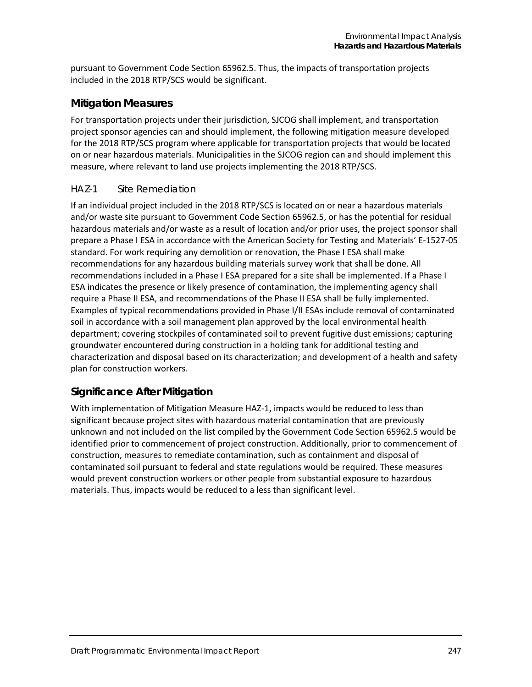pursuant to Government Code Section 65962.5. Thus, the impacts of transportation projects included in the 2018 RTP/SCS would be significant.

### **Mitigation Measures**

For transportation projects under their jurisdiction, SJCOG shall implement, and transportation project sponsor agencies can and should implement, the following mitigation measure developed for the 2018 RTP/SCS program where applicable for transportation projects that would be located on or near hazardous materials. Municipalities in the SJCOG region can and should implement this measure, where relevant to land use projects implementing the 2018 RTP/SCS.

### *HAZ-1 Site Remediation*

If an individual project included in the 2018 RTP/SCS is located on or near a hazardous materials and/or waste site pursuant to Government Code Section 65962.5, or has the potential for residual hazardous materials and/or waste as a result of location and/or prior uses, the project sponsor shall prepare a Phase I ESA in accordance with the American Society for Testing and Materials' E-1527-05 standard. For work requiring any demolition or renovation, the Phase I ESA shall make recommendations for any hazardous building materials survey work that shall be done. All recommendations included in a Phase I ESA prepared for a site shall be implemented. If a Phase I ESA indicates the presence or likely presence of contamination, the implementing agency shall require a Phase II ESA, and recommendations of the Phase II ESA shall be fully implemented. Examples of typical recommendations provided in Phase I/II ESAs include removal of contaminated soil in accordance with a soil management plan approved by the local environmental health department; covering stockpiles of contaminated soil to prevent fugitive dust emissions; capturing groundwater encountered during construction in a holding tank for additional testing and characterization and disposal based on its characterization; and development of a health and safety plan for construction workers.

## **Significance After Mitigation**

With implementation of Mitigation Measure HAZ-1, impacts would be reduced to less than significant because project sites with hazardous material contamination that are previously unknown and not included on the list compiled by the Government Code Section 65962.5 would be identified prior to commencement of project construction. Additionally, prior to commencement of construction, measures to remediate contamination, such as containment and disposal of contaminated soil pursuant to federal and state regulations would be required. These measures would prevent construction workers or other people from substantial exposure to hazardous materials. Thus, impacts would be reduced to a less than significant level.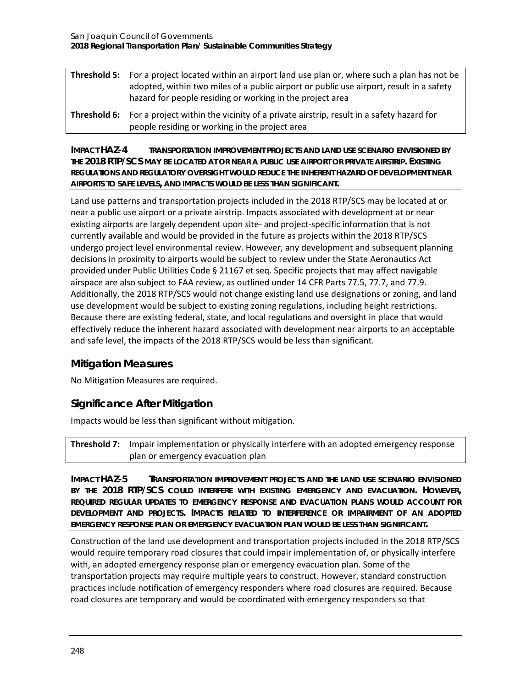| <b>Threshold 5:</b> For a project located within an airport land use plan or, where such a plan has not be<br>adopted, within two miles of a public airport or public use airport, result in a safety<br>hazard for people residing or working in the project area |
|--------------------------------------------------------------------------------------------------------------------------------------------------------------------------------------------------------------------------------------------------------------------|
| <b>Threshold 6:</b> For a project within the vicinity of a private airstrip, result in a safety hazard for                                                                                                                                                         |

people residing or working in the project area

**IMPACT HAZ-4 TRANSPORTATION IMPROVEMENT PROJECTS AND LAND USE SCENARIO ENVISIONED BY THE 2018 RTP/SCS MAY BE LOCATED AT OR NEAR A PUBLIC USE AIRPORT OR PRIVATE AIRSTRIP. EXISTING REGULATIONS AND REGULATORY OVERSIGHT WOULD REDUCE THE INHERENT HAZARD OF DEVELOPMENT NEAR AIRPORTS TO SAFE LEVELS, AND IMPACTS WOULD BE LESS THAN SIGNIFICANT.**

Land use patterns and transportation projects included in the 2018 RTP/SCS may be located at or near a public use airport or a private airstrip. Impacts associated with development at or near existing airports are largely dependent upon site- and project-specific information that is not currently available and would be provided in the future as projects within the 2018 RTP/SCS undergo project level environmental review. However, any development and subsequent planning decisions in proximity to airports would be subject to review under the State Aeronautics Act provided under Public Utilities Code § 21167 et seq. Specific projects that may affect navigable airspace are also subject to FAA review, as outlined under 14 CFR Parts 77.5, 77.7, and 77.9. Additionally, the 2018 RTP/SCS would not change existing land use designations or zoning, and land use development would be subject to existing zoning regulations, including height restrictions. Because there are existing federal, state, and local regulations and oversight in place that would effectively reduce the inherent hazard associated with development near airports to an acceptable and safe level, the impacts of the 2018 RTP/SCS would be less than significant.

## **Mitigation Measures**

No Mitigation Measures are required.

## **Significance After Mitigation**

Impacts would be less than significant without mitigation.

**Threshold 7:** Impair implementation or physically interfere with an adopted emergency response plan or emergency evacuation plan

**IMPACT HAZ-5 TRANSPORTATION IMPROVEMENT PROJECTS AND THE LAND USE SCENARIO ENVISIONED BY THE 2018 RTP/SCS COULD INTERFERE WITH EXISTING EMERGENCY AND EVACUATION. HOWEVER, REQUIRED REGULAR UPDATES TO EMERGENCY RESPONSE AND EVACUATION PLANS WOULD ACCOUNT FOR DEVELOPMENT AND PROJECTS. IMPACTS RELATED TO INTERFERENCE OR IMPAIRMENT OF AN ADOPTED EMERGENCY RESPONSE PLAN OR EMERGENCY EVACUATION PLAN WOULD BE LESS THAN SIGNIFICANT.**

Construction of the land use development and transportation projects included in the 2018 RTP/SCS would require temporary road closures that could impair implementation of, or physically interfere with, an adopted emergency response plan or emergency evacuation plan. Some of the transportation projects may require multiple years to construct. However, standard construction practices include notification of emergency responders where road closures are required. Because road closures are temporary and would be coordinated with emergency responders so that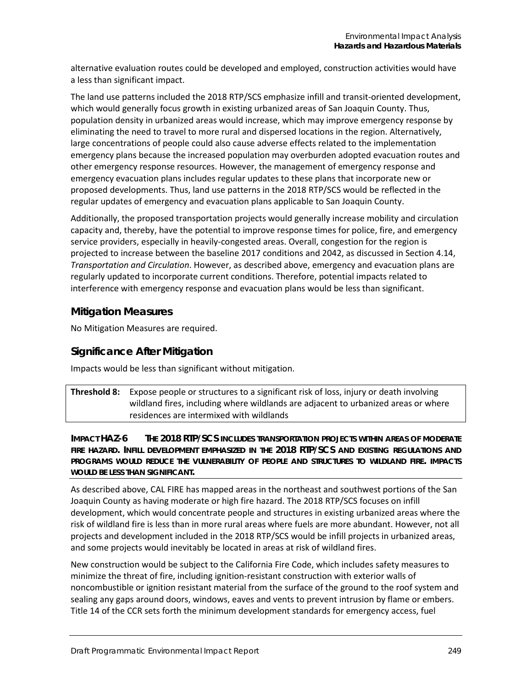alternative evaluation routes could be developed and employed, construction activities would have a less than significant impact.

The land use patterns included the 2018 RTP/SCS emphasize infill and transit-oriented development, which would generally focus growth in existing urbanized areas of San Joaquin County. Thus, population density in urbanized areas would increase, which may improve emergency response by eliminating the need to travel to more rural and dispersed locations in the region. Alternatively, large concentrations of people could also cause adverse effects related to the implementation emergency plans because the increased population may overburden adopted evacuation routes and other emergency response resources. However, the management of emergency response and emergency evacuation plans includes regular updates to these plans that incorporate new or proposed developments. Thus, land use patterns in the 2018 RTP/SCS would be reflected in the regular updates of emergency and evacuation plans applicable to San Joaquin County.

Additionally, the proposed transportation projects would generally increase mobility and circulation capacity and, thereby, have the potential to improve response times for police, fire, and emergency service providers, especially in heavily-congested areas. Overall, congestion for the region is projected to increase between the baseline 2017 conditions and 2042, as discussed in Section 4.14, *Transportation and Circulation*. However, as described above, emergency and evacuation plans are regularly updated to incorporate current conditions. Therefore, potential impacts related to interference with emergency response and evacuation plans would be less than significant.

## **Mitigation Measures**

No Mitigation Measures are required.

### **Significance After Mitigation**

Impacts would be less than significant without mitigation.

**Threshold 8:** Expose people or structures to a significant risk of loss, injury or death involving wildland fires, including where wildlands are adjacent to urbanized areas or where residences are intermixed with wildlands

**IMPACT HAZ-6 THE 2018 RTP/SCS INCLUDES TRANSPORTATION PROJECTS WITHIN AREAS OF MODERATE FIRE HAZARD. INFILL DEVELOPMENT EMPHASIZED IN THE 2018 RTP/SCS AND EXISTING REGULATIONS AND PROGRAMS WOULD REDUCE THE VULNERABILITY OF PEOPLE AND STRUCTURES TO WILDLAND FIRE. IMPACTS WOULD BE LESS THAN SIGNIFICANT.**

As described above, CAL FIRE has mapped areas in the northeast and southwest portions of the San Joaquin County as having moderate or high fire hazard. The 2018 RTP/SCS focuses on infill development, which would concentrate people and structures in existing urbanized areas where the risk of wildland fire is less than in more rural areas where fuels are more abundant. However, not all projects and development included in the 2018 RTP/SCS would be infill projects in urbanized areas, and some projects would inevitably be located in areas at risk of wildland fires.

New construction would be subject to the California Fire Code, which includes safety measures to minimize the threat of fire, including ignition-resistant construction with exterior walls of noncombustible or ignition resistant material from the surface of the ground to the roof system and sealing any gaps around doors, windows, eaves and vents to prevent intrusion by flame or embers. Title 14 of the CCR sets forth the minimum development standards for emergency access, fuel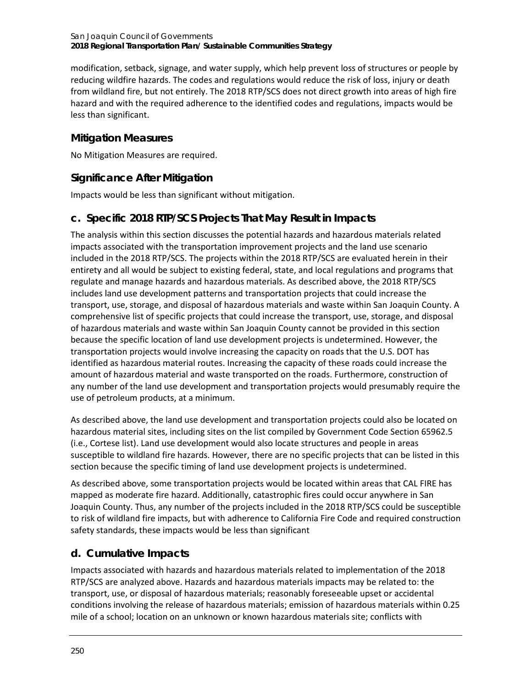modification, setback, signage, and water supply, which help prevent loss of structures or people by reducing wildfire hazards. The codes and regulations would reduce the risk of loss, injury or death from wildland fire, but not entirely. The 2018 RTP/SCS does not direct growth into areas of high fire hazard and with the required adherence to the identified codes and regulations, impacts would be less than significant.

# **Mitigation Measures**

No Mitigation Measures are required.

# **Significance After Mitigation**

Impacts would be less than significant without mitigation.

# **c. Specific 2018 RTP/SCS Projects That May Result in Impacts**

The analysis within this section discusses the potential hazards and hazardous materials related impacts associated with the transportation improvement projects and the land use scenario included in the 2018 RTP/SCS. The projects within the 2018 RTP/SCS are evaluated herein in their entirety and all would be subject to existing federal, state, and local regulations and programs that regulate and manage hazards and hazardous materials. As described above, the 2018 RTP/SCS includes land use development patterns and transportation projects that could increase the transport, use, storage, and disposal of hazardous materials and waste within San Joaquin County. A comprehensive list of specific projects that could increase the transport, use, storage, and disposal of hazardous materials and waste within San Joaquin County cannot be provided in this section because the specific location of land use development projects is undetermined. However, the transportation projects would involve increasing the capacity on roads that the U.S. DOT has identified as hazardous material routes. Increasing the capacity of these roads could increase the amount of hazardous material and waste transported on the roads. Furthermore, construction of any number of the land use development and transportation projects would presumably require the use of petroleum products, at a minimum.

As described above, the land use development and transportation projects could also be located on hazardous material sites, including sites on the list compiled by Government Code Section 65962.5 (i.e., Cortese list). Land use development would also locate structures and people in areas susceptible to wildland fire hazards. However, there are no specific projects that can be listed in this section because the specific timing of land use development projects is undetermined.

As described above, some transportation projects would be located within areas that CAL FIRE has mapped as moderate fire hazard. Additionally, catastrophic fires could occur anywhere in San Joaquin County. Thus, any number of the projects included in the 2018 RTP/SCS could be susceptible to risk of wildland fire impacts, but with adherence to California Fire Code and required construction safety standards, these impacts would be less than significant

# **d. Cumulative Impacts**

Impacts associated with hazards and hazardous materials related to implementation of the 2018 RTP/SCS are analyzed above. Hazards and hazardous materials impacts may be related to: the transport, use, or disposal of hazardous materials; reasonably foreseeable upset or accidental conditions involving the release of hazardous materials; emission of hazardous materials within 0.25 mile of a school; location on an unknown or known hazardous materials site; conflicts with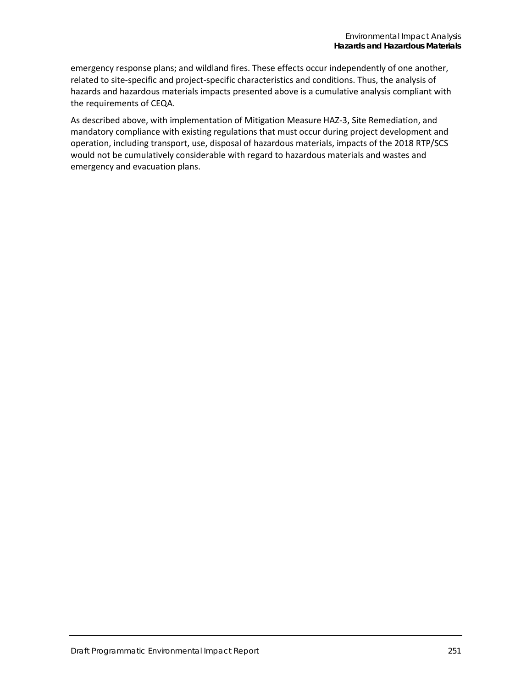emergency response plans; and wildland fires. These effects occur independently of one another, related to site-specific and project-specific characteristics and conditions. Thus, the analysis of hazards and hazardous materials impacts presented above is a cumulative analysis compliant with the requirements of CEQA.

As described above, with implementation of Mitigation Measure HAZ-3, Site Remediation, and mandatory compliance with existing regulations that must occur during project development and operation, including transport, use, disposal of hazardous materials, impacts of the 2018 RTP/SCS would not be cumulatively considerable with regard to hazardous materials and wastes and emergency and evacuation plans.